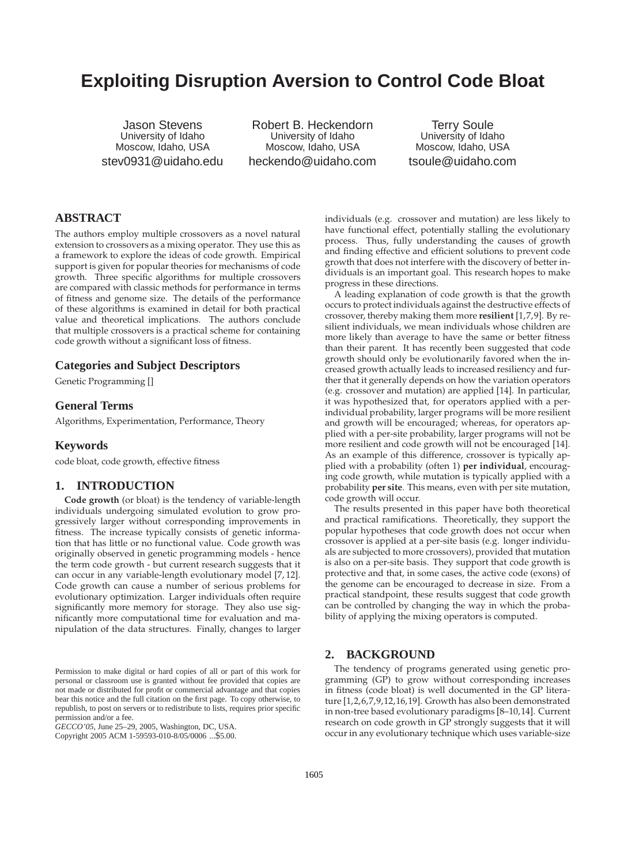# **Exploiting Disruption Aversion to Control Code Bloat**

Jason Stevens University of Idaho Moscow, Idaho, USA stev0931@uidaho.edu

Robert B. Heckendorn University of Idaho Moscow, Idaho, USA heckendo@uidaho.com

Terry Soule University of Idaho Moscow, Idaho, USA tsoule@uidaho.com

## **ABSTRACT**

The authors employ multiple crossovers as a novel natural extension to crossovers as a mixing operator. They use this as a framework to explore the ideas of code growth. Empirical support is given for popular theories for mechanisms of code growth. Three specific algorithms for multiple crossovers are compared with classic methods for performance in terms of fitness and genome size. The details of the performance of these algorithms is examined in detail for both practical value and theoretical implications. The authors conclude that multiple crossovers is a practical scheme for containing code growth without a significant loss of fitness.

### **Categories and Subject Descriptors**

Genetic Programming []

#### **General Terms**

Algorithms, Experimentation, Performance, Theory

#### **Keywords**

code bloat, code growth, effective fitness

# **1. INTRODUCTION**

**Code growth** (or bloat) is the tendency of variable-length individuals undergoing simulated evolution to grow progressively larger without corresponding improvements in fitness. The increase typically consists of genetic information that has little or no functional value. Code growth was originally observed in genetic programming models - hence the term code growth - but current research suggests that it can occur in any variable-length evolutionary model [7, 12]. Code growth can cause a number of serious problems for evolutionary optimization. Larger individuals often require significantly more memory for storage. They also use significantly more computational time for evaluation and manipulation of the data structures. Finally, changes to larger

Copyright 2005 ACM 1-59593-010-8/05/0006 ...\$5.00.

individuals (e.g. crossover and mutation) are less likely to have functional effect, potentially stalling the evolutionary process. Thus, fully understanding the causes of growth and finding effective and efficient solutions to prevent code growth that does not interfere with the discovery of better individuals is an important goal. This research hopes to make progress in these directions.

A leading explanation of code growth is that the growth occurs to protect individuals against the destructive effects of crossover, thereby making them more **resilient** [1,7,9]. By resilient individuals, we mean individuals whose children are more likely than average to have the same or better fitness than their parent. It has recently been suggested that code growth should only be evolutionarily favored when the increased growth actually leads to increased resiliency and further that it generally depends on how the variation operators (e.g. crossover and mutation) are applied [14]. In particular, it was hypothesized that, for operators applied with a perindividual probability, larger programs will be more resilient and growth will be encouraged; whereas, for operators applied with a per-site probability, larger programs will not be more resilient and code growth will not be encouraged [14]. As an example of this difference, crossover is typically applied with a probability (often 1) **per individual**, encouraging code growth, while mutation is typically applied with a probability **per site**. This means, even with per site mutation, code growth will occur.

The results presented in this paper have both theoretical and practical ramifications. Theoretically, they support the popular hypotheses that code growth does not occur when crossover is applied at a per-site basis (e.g. longer individuals are subjected to more crossovers), provided that mutation is also on a per-site basis. They support that code growth is protective and that, in some cases, the active code (exons) of the genome can be encouraged to decrease in size. From a practical standpoint, these results suggest that code growth can be controlled by changing the way in which the probability of applying the mixing operators is computed.

# **2. BACKGROUND**

The tendency of programs generated using genetic programming (GP) to grow without corresponding increases in fitness (code bloat) is well documented in the GP literature [1,2,6,7,9,12,16,19]. Growth has also been demonstrated in non-tree based evolutionary paradigms [8–10,14]. Current research on code growth in GP strongly suggests that it will occur in any evolutionary technique which uses variable-size

Permission to make digital or hard copies of all or part of this work for personal or classroom use is granted without fee provided that copies are not made or distributed for profit or commercial advantage and that copies bear this notice and the full citation on the first page. To copy otherwise, to republish, to post on servers or to redistribute to lists, requires prior specific permission and/or a fee.

*GECCO'05,* June 25–29, 2005, Washington, DC, USA.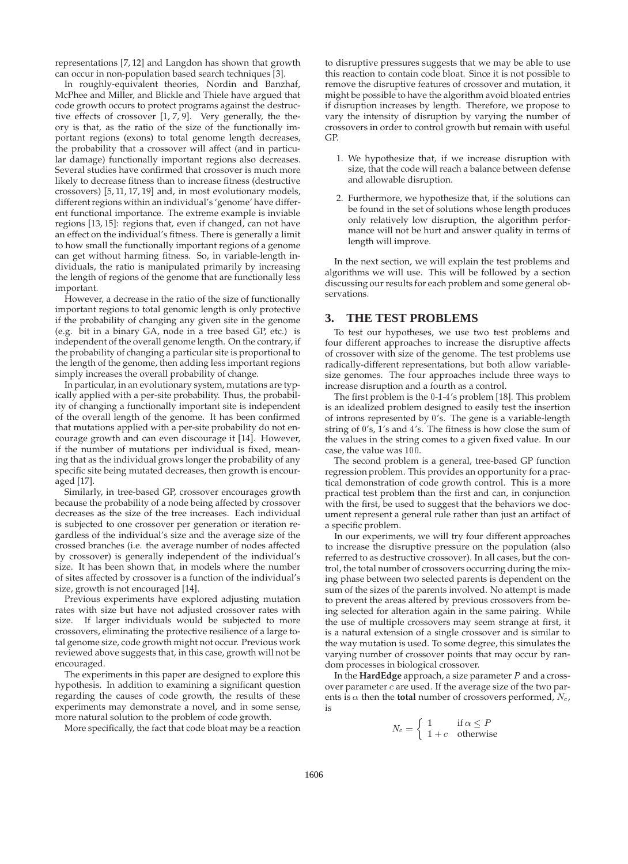representations [7, 12] and Langdon has shown that growth can occur in non-population based search techniques [3].

In roughly-equivalent theories, Nordin and Banzhaf, McPhee and Miller, and Blickle and Thiele have argued that code growth occurs to protect programs against the destructive effects of crossover [1, 7, 9]. Very generally, the theory is that, as the ratio of the size of the functionally important regions (exons) to total genome length decreases, the probability that a crossover will affect (and in particular damage) functionally important regions also decreases. Several studies have confirmed that crossover is much more likely to decrease fitness than to increase fitness (destructive crossovers) [5, 11, 17, 19] and, in most evolutionary models, different regions within an individual's 'genome' have different functional importance. The extreme example is inviable regions [13, 15]: regions that, even if changed, can not have an effect on the individual's fitness. There is generally a limit to how small the functionally important regions of a genome can get without harming fitness. So, in variable-length individuals, the ratio is manipulated primarily by increasing the length of regions of the genome that are functionally less important.

However, a decrease in the ratio of the size of functionally important regions to total genomic length is only protective if the probability of changing any given site in the genome (e.g. bit in a binary GA, node in a tree based GP, etc.) is independent of the overall genome length. On the contrary, if the probability of changing a particular site is proportional to the length of the genome, then adding less important regions simply increases the overall probability of change.

In particular, in an evolutionary system, mutations are typically applied with a per-site probability. Thus, the probability of changing a functionally important site is independent of the overall length of the genome. It has been confirmed that mutations applied with a per-site probability do not encourage growth and can even discourage it [14]. However, if the number of mutations per individual is fixed, meaning that as the individual grows longer the probability of any specific site being mutated decreases, then growth is encouraged [17].

Similarly, in tree-based GP, crossover encourages growth because the probability of a node being affected by crossover decreases as the size of the tree increases. Each individual is subjected to one crossover per generation or iteration regardless of the individual's size and the average size of the crossed branches (i.e. the average number of nodes affected by crossover) is generally independent of the individual's size. It has been shown that, in models where the number of sites affected by crossover is a function of the individual's size, growth is not encouraged [14].

Previous experiments have explored adjusting mutation rates with size but have not adjusted crossover rates with size. If larger individuals would be subjected to more crossovers, eliminating the protective resilience of a large total genome size, code growth might not occur. Previous work reviewed above suggests that, in this case, growth will not be encouraged.

The experiments in this paper are designed to explore this hypothesis. In addition to examining a significant question regarding the causes of code growth, the results of these experiments may demonstrate a novel, and in some sense, more natural solution to the problem of code growth.

More specifically, the fact that code bloat may be a reaction

to disruptive pressures suggests that we may be able to use this reaction to contain code bloat. Since it is not possible to remove the disruptive features of crossover and mutation, it might be possible to have the algorithm avoid bloated entries if disruption increases by length. Therefore, we propose to vary the intensity of disruption by varying the number of crossovers in order to control growth but remain with useful GP.

- 1. We hypothesize that, if we increase disruption with size, that the code will reach a balance between defense and allowable disruption.
- 2. Furthermore, we hypothesize that, if the solutions can be found in the set of solutions whose length produces only relatively low disruption, the algorithm performance will not be hurt and answer quality in terms of length will improve.

In the next section, we will explain the test problems and algorithms we will use. This will be followed by a section discussing our results for each problem and some general observations.

# **3. THE TEST PROBLEMS**

To test our hypotheses, we use two test problems and four different approaches to increase the disruptive affects of crossover with size of the genome. The test problems use radically-different representations, but both allow variablesize genomes. The four approaches include three ways to increase disruption and a fourth as a control.

The first problem is the <sup>0</sup>-1-4's problem [18]. This problem is an idealized problem designed to easily test the insertion of introns represented by <sup>0</sup>'s. The gene is a variable-length string of <sup>0</sup>'s, <sup>1</sup>'s and <sup>4</sup>'s. The fitness is how close the sum of the values in the string comes to a given fixed value. In our case, the value was <sup>100</sup>.

The second problem is a general, tree-based GP function regression problem. This provides an opportunity for a practical demonstration of code growth control. This is a more practical test problem than the first and can, in conjunction with the first, be used to suggest that the behaviors we document represent a general rule rather than just an artifact of a specific problem.

In our experiments, we will try four different approaches to increase the disruptive pressure on the population (also referred to as destructive crossover). In all cases, but the control, the total number of crossovers occurring during the mixing phase between two selected parents is dependent on the sum of the sizes of the parents involved. No attempt is made to prevent the areas altered by previous crossovers from being selected for alteration again in the same pairing. While the use of multiple crossovers may seem strange at first, it is a natural extension of a single crossover and is similar to the way mutation is used. To some degree, this simulates the varying number of crossover points that may occur by random processes in biological crossover.

In the **HardEdge** approach, a size parameter <sup>P</sup> and a crossover parameter  $c$  are used. If the average size of the two parents is  $\alpha$  then the **total** number of crossovers performed,  $N_c$ , is

$$
N_c = \begin{cases} 1 & \text{if } \alpha \le P \\ 1 + c & \text{otherwise} \end{cases}
$$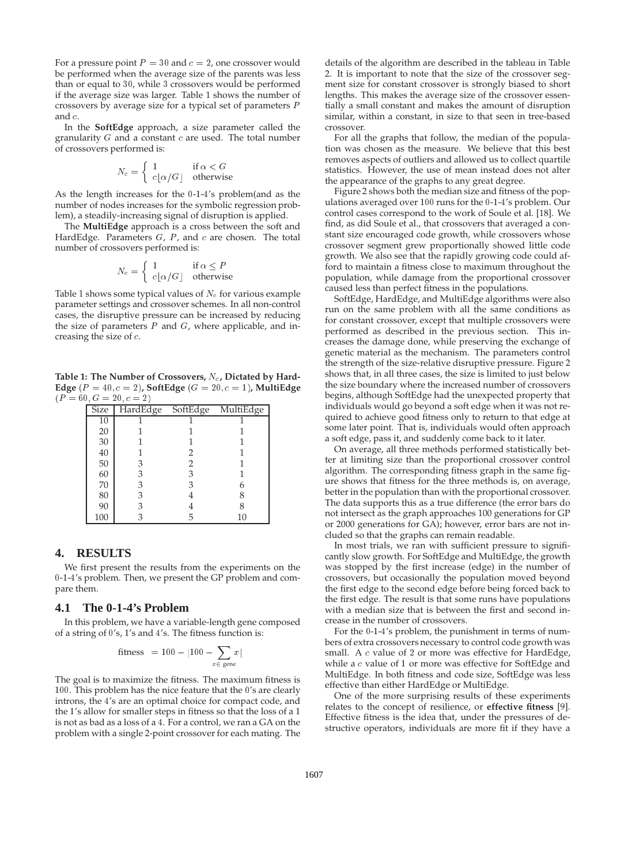For a pressure point  $P = 30$  and  $c = 2$ , one crossover would be performed when the average size of the parents was less than or equal to <sup>30</sup>, while <sup>3</sup> crossovers would be performed if the average size was larger. Table 1 shows the number of crossovers by average size for a typical set of parameters <sup>P</sup> and c.

In the **SoftEdge** approach, a size parameter called the granularity  $G$  and a constant  $c$  are used. The total number of crossovers performed is:

$$
N_c = \begin{cases} 1 & \text{if } \alpha < G \\ c\lfloor \alpha / G \rfloor & \text{otherwise} \end{cases}
$$

As the length increases for the <sup>0</sup>-1-4's problem(and as the number of nodes increases for the symbolic regression problem), a steadily-increasing signal of disruption is applied.

The **MultiEdge** approach is a cross between the soft and HardEdge. Parameters  $G$ ,  $P$ , and  $c$  are chosen. The total number of crossovers performed is:

$$
N_c = \begin{cases} 1 & \text{if } \alpha \le P \\ c \lfloor \alpha / G \rfloor & \text{otherwise} \end{cases}
$$

Table 1 shows some typical values of  $N_c$  for various example parameter settings and crossover schemes. In all non-control cases, the disruptive pressure can be increased by reducing the size of parameters  $P$  and  $G$ , where applicable, and increasing the size of .

Table 1: The Number of Crossovers, N<sub>c</sub>, Dictated by Hard-**Edge**  $(P = 40, c = 2)$ , **SoftEdge**  $(G = 20, c = 1)$ , **MultiEdge**  $(P = 60, G = 20, c = 2)$ 

| <b>Size</b> |   |                | HardEdge SoftEdge MultiEdge |
|-------------|---|----------------|-----------------------------|
| 10          |   |                |                             |
| 20          |   |                |                             |
| 30          |   |                |                             |
| 40          |   | 2              |                             |
| 50          | 3 | $\overline{2}$ |                             |
| 60          | 3 | 3              |                             |
| 70          | 3 | 3              | 6                           |
| 80          | 3 |                |                             |
| 90          | 3 |                |                             |
| 100         | 3 | 5              | 10                          |

#### **4. RESULTS**

We first present the results from the experiments on the 0-1-4's problem. Then, we present the GP problem and compare them.

#### **4.1 The 0-1-4's Problem**

In this problem, we have a variable-length gene composed of a string of <sup>0</sup>'s, <sup>1</sup>'s and <sup>4</sup>'s. The fitness function is:

$$
fitness = 100 - |100 - \sum_{x \in gene} x|
$$

The goal is to maximize the fitness. The maximum fitness is <sup>100</sup>. This problem has the nice feature that the <sup>0</sup>'s are clearly introns, the <sup>4</sup>'s are an optimal choice for compact code, and the <sup>1</sup>'s allow for smaller steps in fitness so that the loss of a <sup>1</sup> is not as bad as a loss of a <sup>4</sup>. For a control, we ran a GA on the problem with a single 2-point crossover for each mating. The

details of the algorithm are described in the tableau in Table 2. It is important to note that the size of the crossover segment size for constant crossover is strongly biased to short lengths. This makes the average size of the crossover essentially a small constant and makes the amount of disruption similar, within a constant, in size to that seen in tree-based crossover.

For all the graphs that follow, the median of the population was chosen as the measure. We believe that this best removes aspects of outliers and allowed us to collect quartile statistics. However, the use of mean instead does not alter the appearance of the graphs to any great degree.

Figure 2 shows both the median size and fitness of the populations averaged over <sup>100</sup> runs for the <sup>0</sup>-1-4's problem. Our control cases correspond to the work of Soule et al. [18]. We find, as did Soule et al., that crossovers that averaged a constant size encouraged code growth, while crossovers whose crossover segment grew proportionally showed little code growth. We also see that the rapidly growing code could afford to maintain a fitness close to maximum throughout the population, while damage from the proportional crossover caused less than perfect fitness in the populations.

SoftEdge, HardEdge, and MultiEdge algorithms were also run on the same problem with all the same conditions as for constant crossover, except that multiple crossovers were performed as described in the previous section. This increases the damage done, while preserving the exchange of genetic material as the mechanism. The parameters control the strength of the size-relative disruptive pressure. Figure 2 shows that, in all three cases, the size is limited to just below the size boundary where the increased number of crossovers begins, although SoftEdge had the unexpected property that individuals would go beyond a soft edge when it was not required to achieve good fitness only to return to that edge at some later point. That is, individuals would often approach a soft edge, pass it, and suddenly come back to it later.

On average, all three methods performed statistically better at limiting size than the proportional crossover control algorithm. The corresponding fitness graph in the same figure shows that fitness for the three methods is, on average, better in the population than with the proportional crossover. The data supports this as a true difference (the error bars do not intersect as the graph approaches 100 generations for GP or 2000 generations for GA); however, error bars are not included so that the graphs can remain readable.

In most trials, we ran with sufficient pressure to significantly slow growth. For SoftEdge and MultiEdge, the growth was stopped by the first increase (edge) in the number of crossovers, but occasionally the population moved beyond the first edge to the second edge before being forced back to the first edge. The result is that some runs have populations with a median size that is between the first and second increase in the number of crossovers.

For the <sup>0</sup>-1-4's problem, the punishment in terms of numbers of extra crossovers necessary to control code growth was small. A c value of 2 or more was effective for HardEdge, while a  $c$  value of 1 or more was effective for SoftEdge and MultiEdge. In both fitness and code size, SoftEdge was less effective than either HardEdge or MultiEdge.

One of the more surprising results of these experiments relates to the concept of resilience, or **effective fitness** [9]. Effective fitness is the idea that, under the pressures of destructive operators, individuals are more fit if they have a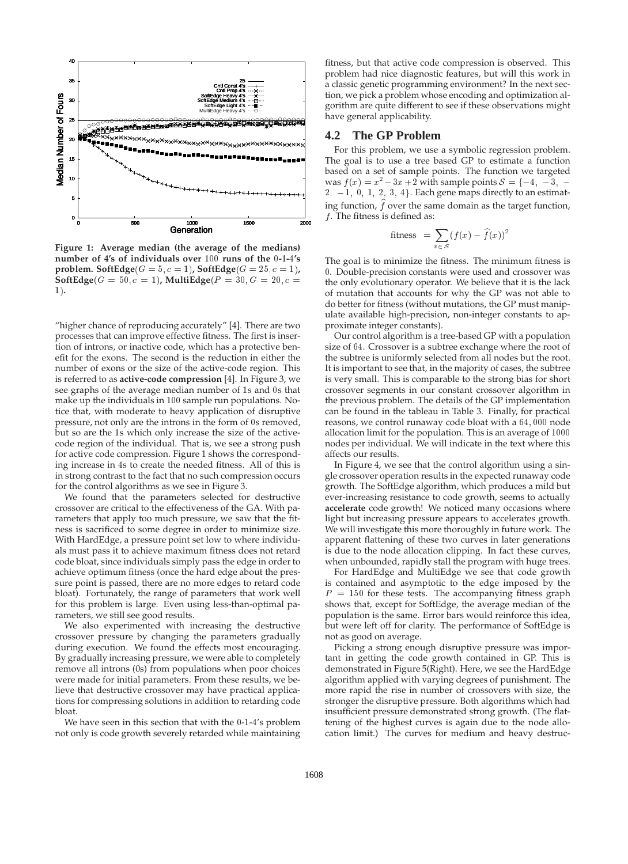

**Figure 1: Average median (the average of the medians) number of 4's of individuals over** <sup>100</sup> **runs of the** <sup>0</sup>**-**1**-**4**'s problem.** SoftEdge( $G = 5, c = 1$ ), SoftEdge( $G = 25, c = 1$ ), **SoftEdge**( $G = 50, c = 1$ ), MultiEdge( $P = 30, G = 20, c = 1$ ) 1)**.**

"higher chance of reproducing accurately" [4]. There are two processes that can improve effective fitness. The first is insertion of introns, or inactive code, which has a protective benefit for the exons. The second is the reduction in either the number of exons or the size of the active-code region. This is referred to as **active-code compression** [4]. In Figure 3, we see graphs of the average median number of <sup>1</sup>s and <sup>0</sup>s that make up the individuals in <sup>100</sup> sample run populations. Notice that, with moderate to heavy application of disruptive pressure, not only are the introns in the form of <sup>0</sup>s removed, but so are the <sup>1</sup>s which only increase the size of the activecode region of the individual. That is, we see a strong push for active code compression. Figure 1 shows the corresponding increase in <sup>4</sup>s to create the needed fitness. All of this is in strong contrast to the fact that no such compression occurs for the control algorithms as we see in Figure 3.

We found that the parameters selected for destructive crossover are critical to the effectiveness of the GA. With parameters that apply too much pressure, we saw that the fitness is sacrificed to some degree in order to minimize size. With HardEdge, a pressure point set low to where individuals must pass it to achieve maximum fitness does not retard code bloat, since individuals simply pass the edge in order to achieve optimum fitness (once the hard edge about the pressure point is passed, there are no more edges to retard code bloat). Fortunately, the range of parameters that work well for this problem is large. Even using less-than-optimal parameters, we still see good results.

We also experimented with increasing the destructive crossover pressure by changing the parameters gradually during execution. We found the effects most encouraging. By gradually increasing pressure, we were able to completely remove all introns (0s) from populations when poor choices were made for initial parameters. From these results, we believe that destructive crossover may have practical applications for compressing solutions in addition to retarding code bloat.

We have seen in this section that with the <sup>0</sup>-1-4's problem not only is code growth severely retarded while maintaining fitness, but that active code compression is observed. This problem had nice diagnostic features, but will this work in a classic genetic programming environment? In the next section, we pick a problem whose encoding and optimization algorithm are quite different to see if these observations might have general applicability.

#### **4.2 The GP Problem**

For this problem, we use a symbolic regression problem. The goal is to use a tree based GP to estimate a function based on a set of sample points. The function we targeted was  $f(x) = x^2 - 3x + 2$  with sample points  $\mathcal{S} = \{-4, -3, -1\}$  $2, -1, 0, 1, 2, 3, 4$ . Each gene maps directly to an estimating function,  $f$  over the same domain as the target function,  $f$ . The fitness is defined as:

$$
\text{fitness} = \sum_{x \in S} (f(x) - \hat{f}(x))^2
$$

The goal is to minimize the fitness. The minimum fitness is <sup>0</sup>. Double-precision constants were used and crossover was the only evolutionary operator. We believe that it is the lack of mutation that accounts for why the GP was not able to do better for fitness (without mutations, the GP must manipulate available high-precision, non-integer constants to approximate integer constants).

Our control algorithm is a tree-based GP with a population size of <sup>64</sup>. Crossover is a subtree exchange where the root of the subtree is uniformly selected from all nodes but the root. It is important to see that, in the majority of cases, the subtree is very small. This is comparable to the strong bias for short crossover segments in our constant crossover algorithm in the previous problem. The details of the GP implementation can be found in the tableau in Table 3. Finally, for practical reasons, we control runaway code bloat with a 64; <sup>000</sup> node allocation limit for the population. This is an average of <sup>1000</sup> nodes per individual. We will indicate in the text where this affects our results.

In Figure 4, we see that the control algorithm using a single crossover operation results in the expected runaway code growth. The SoftEdge algorithm, which produces a mild but ever-increasing resistance to code growth, seems to actually **accelerate** code growth! We noticed many occasions where light but increasing pressure appears to accelerates growth. We will investigate this more thoroughly in future work. The apparent flattening of these two curves in later generations is due to the node allocation clipping. In fact these curves, when unbounded, rapidly stall the program with huge trees.

For HardEdge and MultiEdge we see that code growth is contained and asymptotic to the edge imposed by the  $P = 150$  for these tests. The accompanying fitness graph shows that, except for SoftEdge, the average median of the population is the same. Error bars would reinforce this idea, but were left off for clarity. The performance of SoftEdge is not as good on average.

Picking a strong enough disruptive pressure was important in getting the code growth contained in GP. This is demonstrated in Figure 5(Right). Here, we see the HardEdge algorithm applied with varying degrees of punishment. The more rapid the rise in number of crossovers with size, the stronger the disruptive pressure. Both algorithms which had insufficient pressure demonstrated strong growth. (The flattening of the highest curves is again due to the node allocation limit.) The curves for medium and heavy destruc-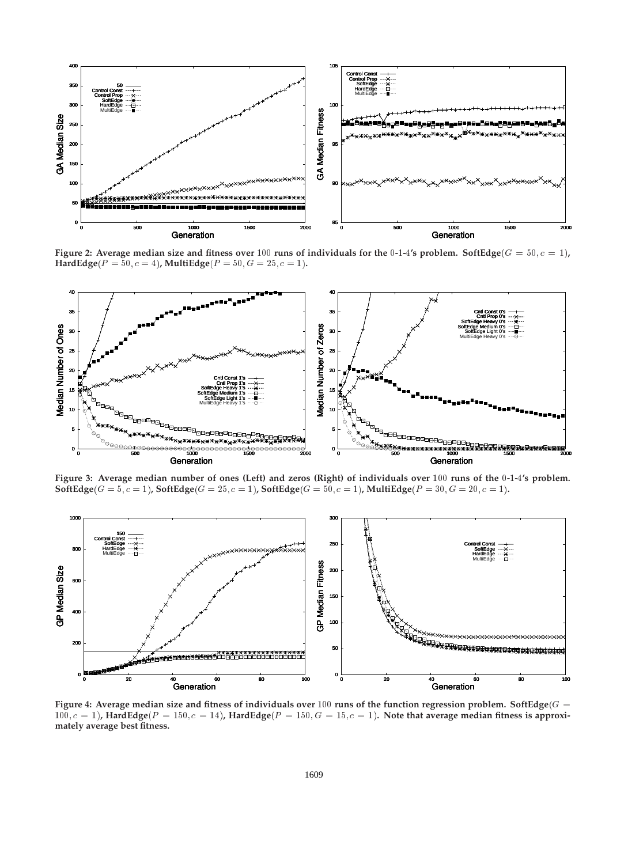

**Figure 2:** Average median size and fitness over 100 runs of individuals for the 0-1-4's problem. SoftEdge( $G = 50, c = 1$ ),  $\textbf{HardEdge}(P = 50, c = 4)$ ,  $\textbf{MultiEdge}(P = 50, G = 25, c = 1)$ .



**Figure 3: Average median number of ones (Left) and zeros (Right) of individuals over** <sup>100</sup> **runs of the** <sup>0</sup>**-**1**-**4**'s problem.**  $\text{SoftEdge}(G = 5, c = 1)$ ,  $\text{SoftEdge}(G = 25, c = 1)$ ,  $\text{SoftEdge}(G = 50, c = 1)$ ,  $\text{MultiEdge}(P = 30, G = 20, c = 1)$ .



**Figure 4: Average median size and fitness of individuals over** <sup>100</sup> **runs of the function regression problem. SoftEdge**(G <sup>=</sup>  $100, c = 1$ , HardEdge( $P = 150, c = 14$ ), HardEdge( $P = 150, G = 15, c = 1$ ). Note that average median fitness is approxi**mately average best fitness.**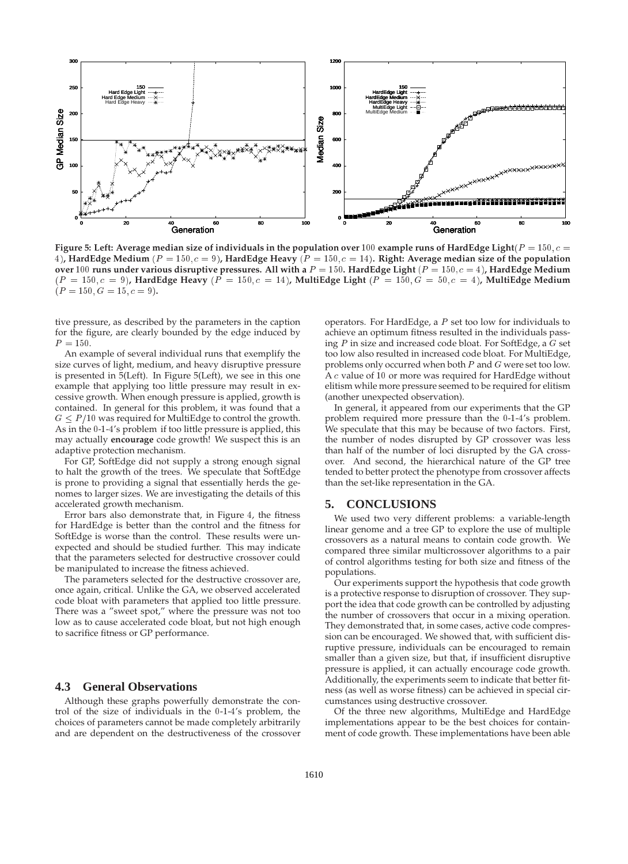

Figure 5: Left: Average median size of individuals in the population over  $100$  example runs of HardEdge Light( $P = 150$ ,  $c =$ 4), HardEdge Medium  $(P = 150, c = 9)$ , HardEdge Heavy  $(P = 150, c = 14)$ . Right: Average median size of the population over 100 runs under various disruptive pressures. All with a  $P = 150$ . HardEdge Light  $(P = 150, c = 4)$ , HardEdge Medium  $(P = 150, c = 9)$ , HardEdge Heavy  $(P = 150, c = 14)$ , MultiEdge Light  $(P = 150, G = 50, c = 4)$ , MultiEdge Medium  $(P = 150, G = 15, c = 9)$ .

tive pressure, as described by the parameters in the caption for the figure, are clearly bounded by the edge induced by  $P = 150.$ 

An example of several individual runs that exemplify the size curves of light, medium, and heavy disruptive pressure is presented in 5(Left). In Figure 5(Left), we see in this one example that applying too little pressure may result in excessive growth. When enough pressure is applied, growth is contained. In general for this problem, it was found that a  $G \leq P/10$  was required for MultiEdge to control the growth. As in the <sup>0</sup>-1-4's problem if too little pressure is applied, this may actually **encourage** code growth! We suspect this is an adaptive protection mechanism.

For GP, SoftEdge did not supply a strong enough signal to halt the growth of the trees. We speculate that SoftEdge is prone to providing a signal that essentially herds the genomes to larger sizes. We are investigating the details of this accelerated growth mechanism.

Error bars also demonstrate that, in Figure <sup>4</sup>, the fitness for HardEdge is better than the control and the fitness for SoftEdge is worse than the control. These results were unexpected and should be studied further. This may indicate that the parameters selected for destructive crossover could be manipulated to increase the fitness achieved.

The parameters selected for the destructive crossover are, once again, critical. Unlike the GA, we observed accelerated code bloat with parameters that applied too little pressure. There was a "sweet spot," where the pressure was not too low as to cause accelerated code bloat, but not high enough to sacrifice fitness or GP performance.

#### **4.3 General Observations**

Although these graphs powerfully demonstrate the control of the size of individuals in the <sup>0</sup>-1-4's problem, the choices of parameters cannot be made completely arbitrarily and are dependent on the destructiveness of the crossover operators. For HardEdge, a <sup>P</sup> set too low for individuals to achieve an optimum fitness resulted in the individuals passing <sup>P</sup> in size and increased code bloat. For SoftEdge, a <sup>G</sup> set too low also resulted in increased code bloat. For MultiEdge, problems only occurred when both <sup>P</sup> and <sup>G</sup> were set too low. A c value of 10 or more was required for HardEdge without elitism while more pressure seemed to be required for elitism (another unexpected observation).

In general, it appeared from our experiments that the GP problem required more pressure than the <sup>0</sup>-1-4's problem. We speculate that this may be because of two factors. First, the number of nodes disrupted by GP crossover was less than half of the number of loci disrupted by the GA crossover. And second, the hierarchical nature of the GP tree tended to better protect the phenotype from crossover affects than the set-like representation in the GA.

#### **5. CONCLUSIONS**

We used two very different problems: a variable-length linear genome and a tree GP to explore the use of multiple crossovers as a natural means to contain code growth. We compared three similar multicrossover algorithms to a pair of control algorithms testing for both size and fitness of the populations.

Our experiments support the hypothesis that code growth is a protective response to disruption of crossover. They support the idea that code growth can be controlled by adjusting the number of crossovers that occur in a mixing operation. They demonstrated that, in some cases, active code compression can be encouraged. We showed that, with sufficient disruptive pressure, individuals can be encouraged to remain smaller than a given size, but that, if insufficient disruptive pressure is applied, it can actually encourage code growth. Additionally, the experiments seem to indicate that better fitness (as well as worse fitness) can be achieved in special circumstances using destructive crossover.

Of the three new algorithms, MultiEdge and HardEdge implementations appear to be the best choices for containment of code growth. These implementations have been able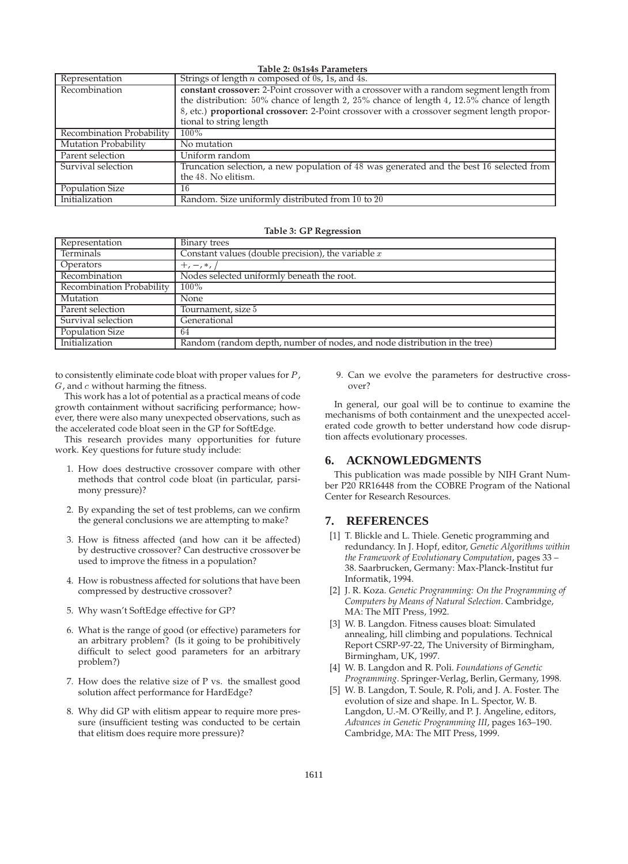| Table 2: 0s1s4s Parameters  |                                                                                            |  |
|-----------------------------|--------------------------------------------------------------------------------------------|--|
| Representation              | Strings of length $n$ composed of 0s, 1s, and 4s.                                          |  |
| Recombination               | constant crossover: 2-Point crossover with a crossover with a random segment length from   |  |
|                             | the distribution: 50% chance of length 2, 25% chance of length 4, 12.5% chance of length   |  |
|                             | 8, etc.) proportional crossover: 2-Point crossover with a crossover segment length propor- |  |
|                             | tional to string length                                                                    |  |
| Recombination Probability   | 100%                                                                                       |  |
| <b>Mutation Probability</b> | No mutation                                                                                |  |
| Parent selection            | Uniform random                                                                             |  |
| Survival selection          | Truncation selection, a new population of 48 was generated and the best 16 selected from   |  |
|                             | the 48. No elitism.                                                                        |  |
| Population Size             | 16                                                                                         |  |
| Initialization              | Random. Size uniformly distributed from 10 to 20                                           |  |

**Table 3: GP Regression**

| Representation            | Binary trees                                                              |
|---------------------------|---------------------------------------------------------------------------|
| Terminals                 | Constant values (double precision), the variable $x$                      |
| Operators                 | $+,-,*,$                                                                  |
| Recombination             | Nodes selected uniformly beneath the root.                                |
| Recombination Probability | $100\%$                                                                   |
| Mutation                  | None                                                                      |
| Parent selection          | Tournament, size 5                                                        |
| Survival selection        | Generational                                                              |
| <b>Population Size</b>    | 64                                                                        |
| Initialization            | Random (random depth, number of nodes, and node distribution in the tree) |

to consistently eliminate code bloat with proper values for <sup>P</sup> ,  $G$ , and  $c$  without harming the fitness.

This work has a lot of potential as a practical means of code growth containment without sacrificing performance; however, there were also many unexpected observations, such as the accelerated code bloat seen in the GP for SoftEdge.

This research provides many opportunities for future work. Key questions for future study include:

- 1. How does destructive crossover compare with other methods that control code bloat (in particular, parsimony pressure)?
- 2. By expanding the set of test problems, can we confirm the general conclusions we are attempting to make?
- 3. How is fitness affected (and how can it be affected) by destructive crossover? Can destructive crossover be used to improve the fitness in a population?
- 4. How is robustness affected for solutions that have been compressed by destructive crossover?
- 5. Why wasn't SoftEdge effective for GP?
- 6. What is the range of good (or effective) parameters for an arbitrary problem? (Is it going to be prohibitively difficult to select good parameters for an arbitrary problem?)
- 7. How does the relative size of P vs. the smallest good solution affect performance for HardEdge?
- 8. Why did GP with elitism appear to require more pressure (insufficient testing was conducted to be certain that elitism does require more pressure)?

9. Can we evolve the parameters for destructive crossover?

In general, our goal will be to continue to examine the mechanisms of both containment and the unexpected accelerated code growth to better understand how code disruption affects evolutionary processes.

# **6. ACKNOWLEDGMENTS**

This publication was made possible by NIH Grant Number P20 RR16448 from the COBRE Program of the National Center for Research Resources.

# **7. REFERENCES**

- [1] T. Blickle and L. Thiele. Genetic programming and redundancy. In J. Hopf, editor, *Genetic Algorithms within the Framework of Evolutionary Computation*, pages 33 – 38. Saarbrucken, Germany: Max-Planck-Institut fur Informatik, 1994.
- [2] J. R. Koza. *Genetic Programming: On the Programming of Computers by Means of Natural Selection*. Cambridge, MA: The MIT Press, 1992.
- [3] W. B. Langdon. Fitness causes bloat: Simulated annealing, hill climbing and populations. Technical Report CSRP-97-22, The University of Birmingham, Birmingham, UK, 1997.
- [4] W. B. Langdon and R. Poli. *Foundations of Genetic Programming*. Springer-Verlag, Berlin, Germany, 1998.
- [5] W. B. Langdon, T. Soule, R. Poli, and J. A. Foster. The evolution of size and shape. In L. Spector, W. B. Langdon, U.-M. O'Reilly, and P. J. Angeline, editors, *Advances in Genetic Programming III*, pages 163–190. Cambridge, MA: The MIT Press, 1999.